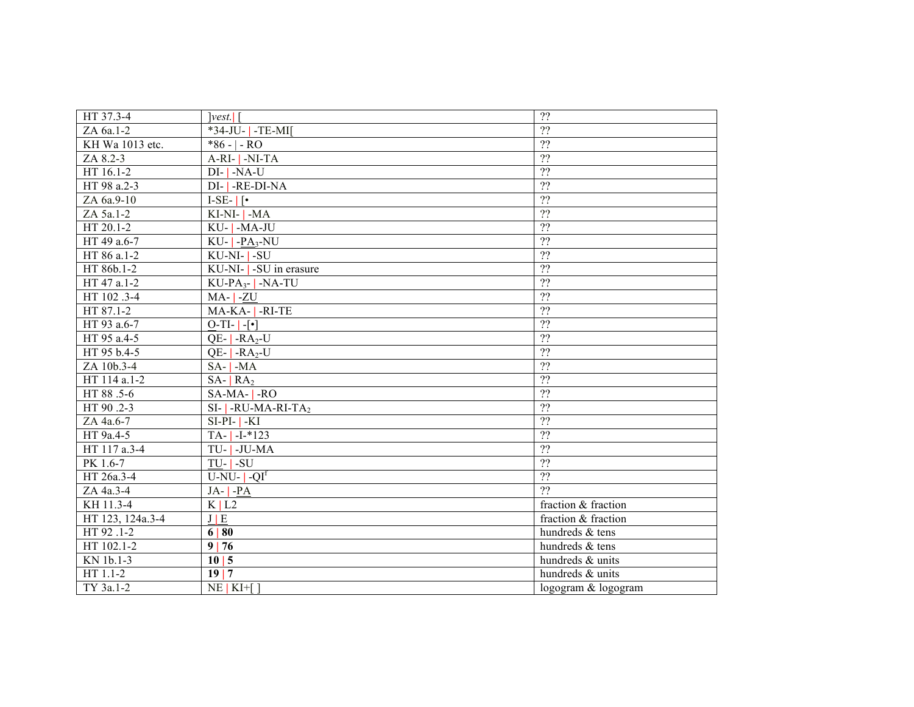| HT 37.3-4        | vest.                              | ??                  |
|------------------|------------------------------------|---------------------|
| ZA 6a.1-2        | *34-JU-   -TE-MI[                  | $\overline{22}$     |
| KH Wa 1013 etc.  | $*86 - - RO$                       | $\overline{22}$     |
| ZA 8.2-3         | $A-RI - I - NI-TA$                 | $\overline{?}$      |
| HT 16.1-2        | $DI$ - $NA$ -U                     | $\overline{22}$     |
| HT 98 a.2-3      | DI-1-RE-DI-NA                      | $\overline{?}$      |
| ZA 6a.9-10       | $I-SE-$   [ $\bullet$ ]            | $\overline{?}$      |
| ZA 5a.1-2        | KI-NI-1-MA                         | $\overline{?}$      |
| HT 20.1-2        | KU-1-MA-JU                         | $\overline{22}$     |
| HT 49 a.6-7      | $KU$ - $ $ -PA <sub>3</sub> -NU    | $\overline{?}$      |
| HT 86 a.1-2      | KU-NI-1-SU                         | $\overline{?}$      |
| HT 86b.1-2       | KU-NI-   -SU in erasure            | $\overline{?}$      |
| HT 47 a.1-2      | $KU$ -PA <sub>3</sub> - $ $ -NA-TU | ??                  |
| HT 102 .3-4      | $MA$ - $ $ -ZU                     | $\overline{?}$      |
| HT 87.1-2        | MA-KA-   -RI-TE                    | $\overline{22}$     |
| HT 93 a.6-7      | $\overline{O-TI}$ -[ $\cdot$ ]     | $\overline{22}$     |
| HT 95 a.4-5      | $QE -RA2-U$                        | $\overline{22}$     |
| HT 95 b.4-5      | $QE -RA2-U$                        | ??                  |
| ZA 10b.3-4       | $SA$ - $ $ -MA                     | $\overline{22}$     |
| HT 114 a.1-2     | $SA -   RA$                        | $\overline{22}$     |
| HT 88 .5-6       | $SA-MA -RO$                        | ??                  |
| HT 90.2-3        | $SI$ -   -RU-MA-RI-TA <sub>2</sub> | $\overline{?}$      |
| ZA 4a.6-7        | $SI-PI-1-KI$                       | $\overline{?}$      |
| HT 9a.4-5        | $TA - 1 - 1*123$                   | $\overline{?}$      |
| HT 117 a.3-4     | TU-1-JU-MA                         | $\overline{?}$      |
| PK 1.6-7         | $TU - I - SU$                      | $\overline{?}$      |
| HT 26a.3-4       | $U-NU OIf$                         | $\overline{?}$      |
| ZA 4a.3-4        | $JA -   -PA$                       | $\overline{22}$     |
| KH 11.3-4        | K L2                               | fraction & fraction |
| HT 123, 124a.3-4 | J/E                                | fraction & fraction |
| HT 92 .1-2       | 6 80                               | hundreds & tens     |
| HT 102.1-2       | 9 76                               | hundreds & tens     |
| KN 1b.1-3        | 10 5                               | hundreds & units    |
| HT 1.1-2         | 19 7                               | hundreds & units    |
| TY 3a.1-2        | $NE$   $KI$ + [ ]                  | logogram & logogram |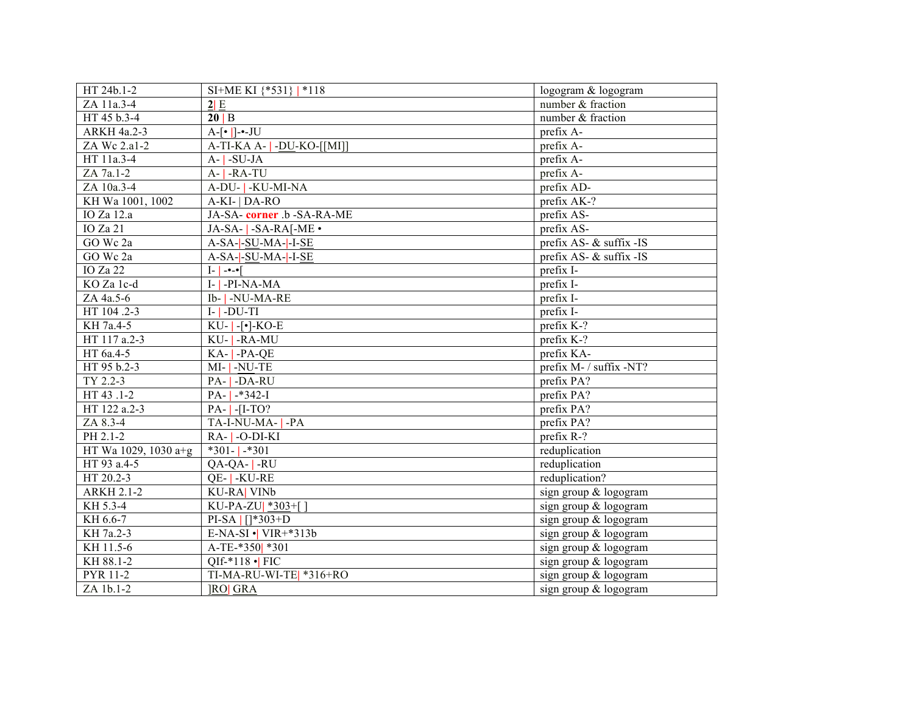| HT 24b.1-2           | SI+ME KI {*531}   *118                   | logogram & logogram     |
|----------------------|------------------------------------------|-------------------------|
| ZA 11a.3-4           | 2 E                                      | number & fraction       |
| HT 45 b.3-4          | 20 B                                     | number & fraction       |
| ARKH 4a.2-3          | $A-[•]$ ]-•-JU                           | prefix A-               |
| ZA Wc 2.a1-2         | A-TI-KA A-   -DU-KO-[[MI]]               | prefix A-               |
| HT 11a.3-4           | $A -  $ -SU-JA                           | prefix A-               |
| ZA 7a.1-2            | $A -   -RA-TU$                           | prefix A-               |
| ZA 10a.3-4           | A-DU-   -KU-MI-NA                        | prefix AD-              |
| KH Wa 1001, 1002     | A-KI-   DA-RO                            | prefix AK-?             |
| IO Za 12.a           | JA-SA-corner .b -SA-RA-ME                | prefix AS-              |
| <b>IO</b> Za 21      | JA-SA-   -SA-RA[-ME •                    | prefix AS-              |
| GO Wc 2a             | A-SA- -SU-MA- -I-SE                      | prefix AS- & suffix -IS |
| GO Wc 2a             | A-SA--SU-MA---I-SE                       | prefix AS- & suffix -IS |
| <b>IO</b> Za 22      | $[- \cdot \cdot]$                        | prefix I-               |
| KO Za 1c-d           | $I - I - PI-NA-MA$                       | prefix I-               |
| ZA 4a.5-6            | Ib-   -NU-MA-RE                          | prefix I-               |
| HT 104.2-3           | $I - J - DU - TI$                        | prefix I-               |
| KH 7a.4-5            | $KU$ - $\lceil \cdot \rceil$ - $KO$ -E   | prefix K-?              |
| HT 117 a.2-3         | KU-   -RA-MU                             | prefix K-?              |
| HT 6a.4-5            | $KA$ - $PA$ -QE                          | prefix KA-              |
| HT 95 b.2-3          | MI-  -NU-TE                              | prefix M- / suffix -NT? |
| TY 2.2-3             | PA-   -DA-RU                             | prefix PA?              |
| HT 43.1-2            | $PA -  -*342 - I $                       | prefix PA?              |
| HT 122 a.2-3         | $PA -   -[I - TO?$                       | prefix PA?              |
| ZA 8.3-4             | TA-I-NU-MA- <sup>1</sup> -PA             | prefix PA?              |
| PH 2.1-2             | $RA -  -O-DI-KI$                         | prefix R-?              |
| HT Wa 1029, 1030 a+g | $*301 - 1 *301$                          | reduplication           |
| HT 93 a.4-5          | $QA-QA -RU$                              | reduplication           |
| HT 20.2-3            | QE- -KU-RE                               | reduplication?          |
| <b>ARKH 2.1-2</b>    | <b>KU-RA  VINb</b>                       | sign group & logogram   |
| KH 5.3-4             | KU-PA-ZU  *303+[]                        | sign group & logogram   |
| KH 6.6-7             | PI-SA   []*303+D                         | sign group & logogram   |
| KH 7a.2-3            | E-NA-SI $\cdot$   VIR+ $\overline{313b}$ | sign group & logogram   |
| KH 11.5-6            | A-TE-*350  *301                          | sign group & logogram   |
| KH 88.1-2            | QIf-*118 $\cdot$ FIC                     | sign group & logogram   |
| PYR 11-2             | TI-MA-RU-WI-TE * 316+RO                  | sign group & logogram   |
| ZA 1b.1-2            | <b>IROI GRA</b>                          | sign group & logogram   |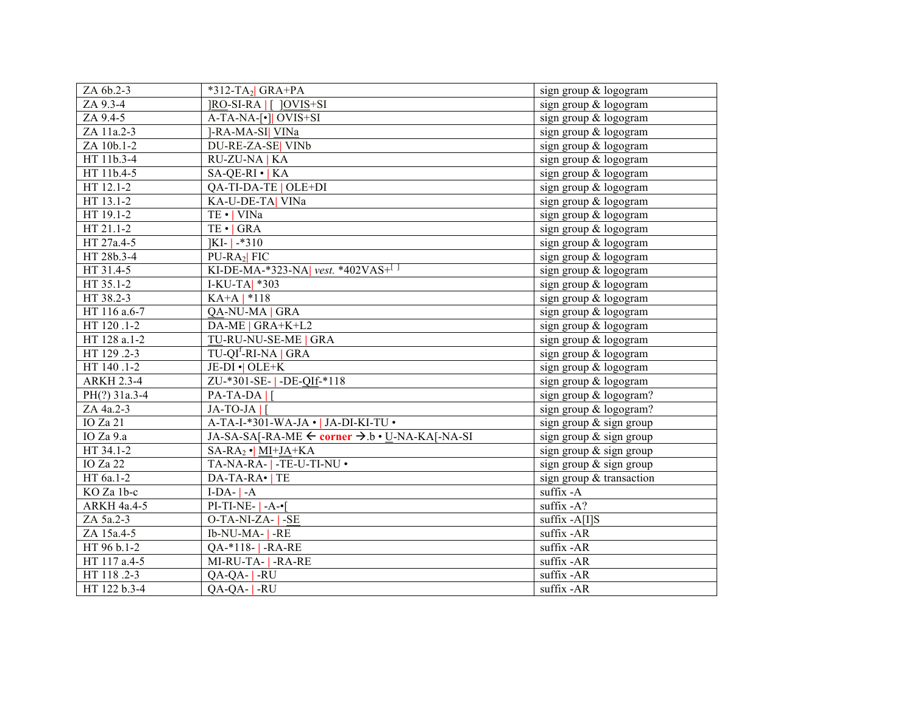| ZA 6b.2-3         | $*312-TA2$ GRA+PA                              | sign group & logogram                     |
|-------------------|------------------------------------------------|-------------------------------------------|
| ZA 9.3-4          | <b>JRO-SI-RA   [ ]OVIS+SI</b>                  | sign group & logogram                     |
| ZA 9.4-5          | A-TA-NA-[•]  OVIS+SI                           | sign group & logogram                     |
| ZA 11a.2-3        | ]-RA-MA-SI] VINa                               | sign group & logogram                     |
| ZA 10b.1-2        | DU-RE-ZA-SE VINb                               | sign group & logogram                     |
| HT 11b.3-4        | RU-ZU-NA   KA                                  | sign group & logogram                     |
| HT 11b.4-5        | $SA-QE-RI \cdot KA$                            | sign group & logogram                     |
| HT 12.1-2         | QA-TI-DA-TE   OLE+DI                           | sign group & logogram                     |
| HT 13.1-2         | KA-U-DE-TA  VINa                               | sign group & logogram                     |
| HT 19.1-2         | TE ·   VINa                                    | sign group & logogram                     |
| HT 21.1-2         | $TE \cdot   GRA$                               | $\overline{\text{sign}}$ group & logogram |
| HT 27a.4-5        | $ KI -  $ *310                                 | sign group & logogram                     |
| HT 28b.3-4        | $PU-RA2$ FIC                                   | sign group & logogram                     |
| HT 31.4-5         | KI-DE-MA-*323-NA vest. *402VAS+                | sign group & logogram                     |
| HT 35.1-2         | I-KU-TA  *303                                  | sign group & logogram                     |
| HT 38.2-3         | $KA+A$   *118                                  | sign group & logogram                     |
| HT 116 a.6-7      | QA-NU-MA   GRA                                 | sign group & logogram                     |
| HT 120 .1-2       | DA-ME   GRA+K+L2                               | sign group & logogram                     |
| HT 128 a.1-2      | TU-RU-NU-SE-ME   GRA                           | sign group & logogram                     |
| HT 129 .2-3       | TU-QI <sup>f</sup> -RI-NA   GRA                | sign group & logogram                     |
| HT 140 .1-2       | JE-DI • OLE+K                                  | sign group & logogram                     |
| <b>ARKH 2.3-4</b> | ZU-*301-SE-   -DE-QIf-*118                     | sign group & logogram                     |
| PH(?) 31a.3-4     | $PA-TA-DA$                                     | sign group & logogram?                    |
| ZA 4a.2-3         | $JA-TO-JA$                                     | sign group & logogram?                    |
| IO Za 21          | A-TA-I-*301-WA-JA ·   JA-DI-KI-TU ·            | sign group & sign group                   |
| IO Za 9.a         | JA-SA-SA[-RA-ME ← corner → .b • U-NA-KA[-NA-SI | sign group & sign group                   |
| HT 34.1-2         | $SA-RA_2 \cdot \text{MI}+JA+KA$                | sign group & sign group                   |
| IO Za 22          | TA-NA-RA-  -TE-U-TI-NU .                       | sign group & sign group                   |
| HT 6a.1-2         | DA-TA-RA•   TE                                 | sign group & transaction                  |
| KO Za 1b-c        | $I-DA -A$                                      | suffix -A                                 |
| ARKH 4a.4-5       | $PI-TI-NE-I-A-I$                               | suffix $-A$ ?                             |
| ZA 5a.2-3         | O-TA-NI-ZA- <sup>1</sup> -SE                   | suffix -A[I]S                             |
| ZA 15a.4-5        | Ib-NU-MA- <sup> -</sup> RE                     | suffix -AR                                |
| HT 96 b.1-2       | QA-*118- -RA-RE                                | suffix -AR                                |
| HT 117 a.4-5      | MI-RU-TA-   -RA-RE                             | suffix -AR                                |
| HT 118.2-3        | $QA-QA-$ -RU                                   | $\overline{\text{suffix - AR}}$           |
| HT 122 b.3-4      | $QA-QA- $ -RU                                  | suffix -AR                                |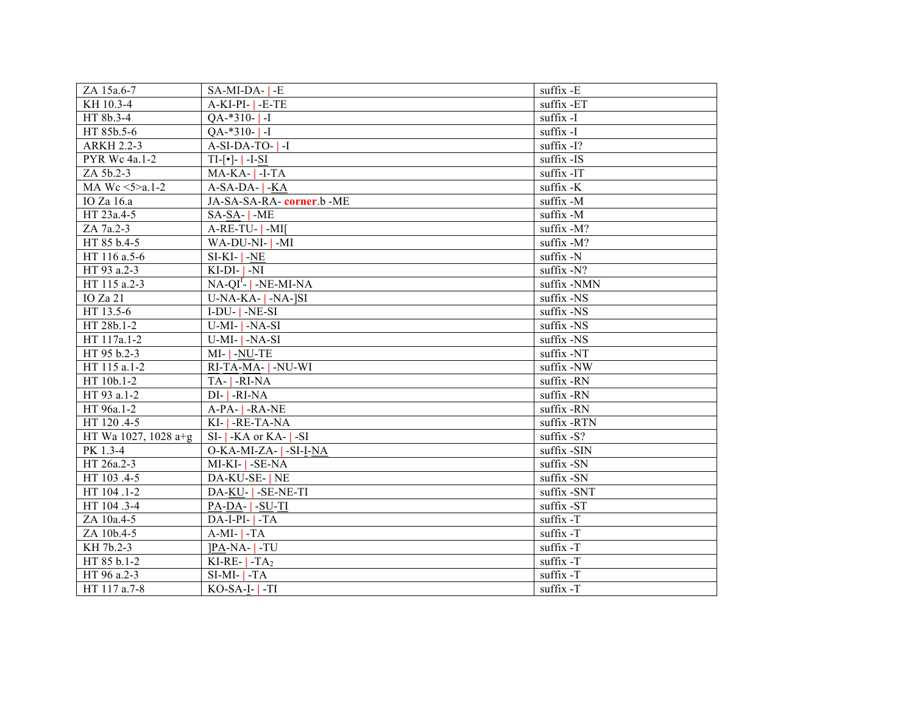| ZA 15a.6-7                | $SA-MI-DA-$ - E                  | suffix -E   |
|---------------------------|----------------------------------|-------------|
| KH 10.3-4                 | $A-KI-PI E-TE$                   | suffix -ET  |
| HT 8b.3-4                 | $QA-*310-$ -I                    | suffix -I   |
| HT 85b.5-6                | $QA **310 - 1 - I$               | suffix -I   |
| <b>ARKH 2.2-3</b>         | $A-SI-DA-TO-$ ]-I                | suffix -I?  |
| PYR Wc 4a.1-2             | $TI$ -[ $\cdot$ ]- $\vert$ -I-SI | suffix -IS  |
| ZA 5b.2-3                 | $MA-KA-$ -I-TA                   | suffix -IT  |
| MA Wc $5 > a.1 - 2$       | $A-SA-DA -KA$                    | suffix -K   |
| IO Za 16.a                | JA-SA-SA-RA-corner.b-ME          | suffix -M   |
| HT 23a.4-5                | $SA-SA$ - $-ME$                  | suffix -M   |
| ZA 7a.2-3                 | $A-RE-TU-$ -MI[                  | suffix -M?  |
| HT 85 b.4-5               | WA-DU-NI-1-MI                    | suffix -M?  |
| HT 116 a.5-6              | $SI-KI NE$                       | suffix -N   |
| HT 93 a.2-3               | $KI-DI$ NI                       | suffix -N?  |
| $\overline{HT}$ 115 a.2-3 | $NA-QIf$ -   -NE-MI-NA           | suffix -NMN |
| IO Za 21                  | $U-NA-KA-$   -NA- $ SI$          | suffix -NS  |
| HT 13.5-6                 | $I-DU-I-NE-SI$                   | suffix -NS  |
| HT 28b.1-2                | $U-MI NA-SI$                     | suffix -NS  |
| HT 117a.1-2               | $\overline{U}$ -MI-   -NA-SI     | suffix -NS  |
| HT 95 b.2-3               | MI-  -NU-TE                      | suffix -NT  |
| HT 115 a.1-2              | RI-TA-MA-   -NU-WI               | suffix -NW  |
| HT 10b.1-2                | TA-1-RI-NA                       | suffix -RN  |
| HT 93 a.1-2               | $DI$ - $I$ -RI-NA                | suffix -RN  |
| HT 96a.1-2                | $A-PA -RA-NE$                    | suffix -RN  |
| HT 120.4-5                | KI-   -RE-TA-NA                  | suffix -RTN |
| HT Wa 1027, 1028 a+g      | $SI$ - $KA$ or $KA$ - $SI$       | suffix -S?  |
| PK 1.3-4                  | O-KA-MI-ZA-   -SI-I-NA           | suffix -SIN |
| HT 26a.2-3                | MI-KI-1-SE-NA                    | suffix -SN  |
| HT 103 .4-5               | DA-KU-SE-   NE                   | suffix -SN  |
| HT 104.1-2                | DA-KU-   -SE-NE-TI               | suffix -SNT |
| HT 104 .3-4               | $PA-DA-$   -SU-TI                | suffix -ST  |
| ZA 10a.4-5                | $DA-I-PI TA$                     | suffix -T   |
| ZA 10b.4-5                | $A-MI TA$                        | suffix -T   |
| KH 7b.2-3                 | $ PA-NA- -TU$                    | suffix -T   |
| HT 85 b.1-2               | KI-RE- $\vert$ -TA <sub>2</sub>  | suffix -T   |
| HT 96 a.2-3               | $SI-MI TA$                       | suffix -T   |
| HT 117 a.7-8              | $KO-SA-I-I-TI$                   | suffix -T   |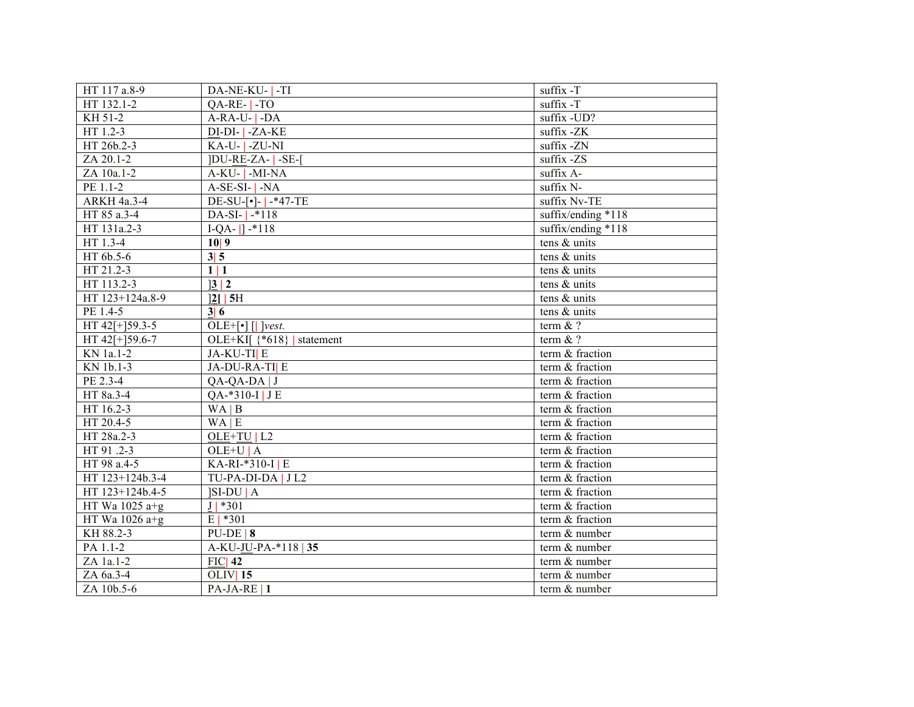| HT 117 a.8-9     | DA-NE-KU-   -TI               | suffix -T          |
|------------------|-------------------------------|--------------------|
| HT 132.1-2       | $QA-RE-$ -TO                  | suffix -T          |
| KH 51-2          | $A-RA-U$ - $A$                | suffix -UD?        |
| HT 1.2-3         | $DI-DI -ZA-KE$                | suffix -ZK         |
| HT 26b.2-3       | KA-U- <sup>1</sup> -ZU-NI     | suffix -ZN         |
| ZA 20.1-2        | <b>JDU-RE-ZA-1-SE-1</b>       | suffix -ZS         |
| ZA 10a.1-2       | $A-KU-$ -MI-NA                | suffix A-          |
| PE 1.1-2         | $A-SE-SI -NA$                 | suffix N-          |
| ARKH 4a.3-4      | $DE-SU-[•] -   -*47-TE$       | suffix Nv-TE       |
| HT 85 a.3-4      | $DA-SI-$   $*118$             | suffix/ending *118 |
| HT 131a.2-3      | $I-QA-$ ] $-$ *118            | suffix/ending *118 |
| HT 1.3-4         | 10 9                          | tens & units       |
| HT 6b.5-6        | 3 5                           | tens & units       |
| HT 21.2-3        | 1 1                           | tens & units       |
| HT 113.2-3       | 3 2                           | tens & units       |
| HT 123+124a.8-9  | $\frac{2}{12}$ 5H             | tens & units       |
| PE 1.4-5         | 3 6                           | tens & units       |
| HT 42[+]59.3-5   | $OLE+[\cdot] [\cdot]$  vest.  | term $&$ ?         |
| HT 42[+]59.6-7   | OLE+KI[ $\$ *618}   statement | term $&$ ?         |
| KN 1a.1-2        | JA-KU-TI E                    | term & fraction    |
| KN 1b.1-3        | JA-DU-RA-TI E                 | term & fraction    |
| PE 2.3-4         | QA-QA-DA   J                  | term & fraction    |
| HT 8a.3-4        | QA-*310-I   J E               | term & fraction    |
| HT 16.2-3        | WA   B                        | term & fraction    |
| HT 20.4-5        | WA E                          | term & fraction    |
| HT 28a.2-3       | $OLE+TU L2$                   | term & fraction    |
| HT 91 .2-3       | $OLE+UIA$                     | term & fraction    |
| HT 98 a.4-5      | KA-RI-*310-I E                | term & fraction    |
| HT 123+124b.3-4  | TU-PA-DI-DA   JL2             | term & fraction    |
| HT 123+124b.4-5  | $ SI-DU A$                    | term & fraction    |
| HT Wa 1025 $a+g$ | $J$   *301                    | term & fraction    |
| HT Wa 1026 $a+g$ | $E   *301$                    | term & fraction    |
| KH 88.2-3        | $PU-DE   8$                   | term & number      |
| PA 1.1-2         | A-KU-JU-PA-*118   35          | term & number      |
| ZA 1a.1-2        | $FIC$   42                    | term & number      |
| ZA 6a.3-4        | OLIV 15                       | term & number      |
| ZA 10b.5-6       | PA-JA-RE   1                  | term & number      |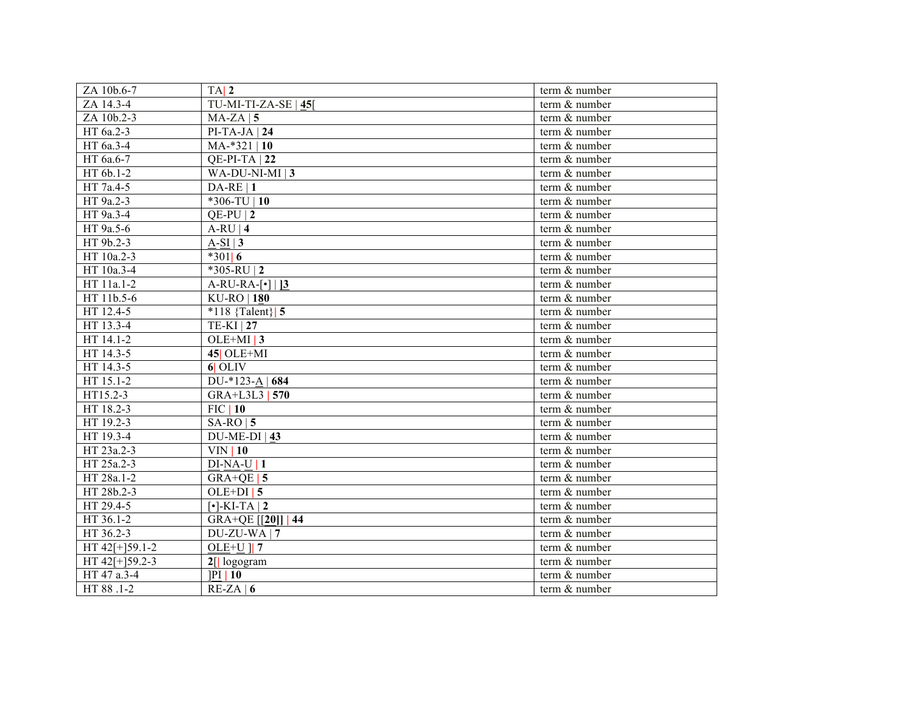| ZA 10b.6-7        | $TA$   2                          | term & number |
|-------------------|-----------------------------------|---------------|
| ZA 14.3-4         | TU-MI-TI-ZA-SE $ \underline{45} $ | term & number |
| ZA 10b.2-3        | $MA-ZA$   5                       | term & number |
| HT 6a.2-3         | $PI-TA-JA$   24                   | term & number |
| HT 6a.3-4         | $MA.*321   10$                    | term & number |
| HT 6a.6-7         | $QE-PI-TA$   22                   | term & number |
| HT 6b.1-2         | WA-DU-NI-MI   3                   | term & number |
| HT 7a.4-5         | $DA-RE$   1                       | term & number |
| HT 9a.2-3         | $*306-TU$   10                    | term & number |
| HT 9a.3-4         | $QE-PU$   2                       | term & number |
| HT 9a.5-6         | $A-RU 4$                          | term & number |
| HT 9b.2-3         | $A-SI$   3                        | term & number |
| HT 10a.2-3        | $*301$ 6                          | term & number |
| HT 10a.3-4        | *305-RU   2                       | term & number |
| HT 11a.1-2        | $A-RU-RA-\lceil \cdot \rceil   3$ | term & number |
| HT 11b.5-6        | $KU$ -RO   180                    | term & number |
| HT 12.4-5         | *118 ${Talent}$ 5                 | term & number |
| HT 13.3-4         | $TE-KI$   27                      | term & number |
| HT 14.1-2         | $OLE+MI$   3                      | term & number |
| HT 14.3-5         | $45$ OLE+MI                       | term & number |
| HT 14.3-5         | $6$ OLIV                          | term & number |
| HT 15.1-2         | DU-*123-A   684                   | term & number |
| HT15.2-3          | GRA+L3L3   570                    | term & number |
| HT 18.2-3         | $FIC$   10                        | term & number |
| HT 19.2-3         | $SA-RO$   5                       | term & number |
| HT 19.3-4         | $DU-ME-DI$   43                   | term & number |
| HT 23a.2-3        | $VIN$   10                        | term & number |
| HT 25a.2-3        | $DI-NA-U$  1                      | term & number |
| HT 28a.1-2        | GRA+QE   $5$                      | term & number |
| HT 28b.2-3        | $OLE+DI$ 5                        | term & number |
| HT 29.4-5         | $\lceil \cdot \rceil$ -KI-TA   2  | term & number |
| HT 36.1-2         | GRA+QE [[20]]   44                | term & number |
| HT 36.2-3         | $DU-ZU-WA$   7                    | term & number |
| HT $42$ [+]59.1-2 | OLE+U $\parallel$ 7               | term & number |
| HT $42[+]59.2-3$  | $2$ [  logogram                   | term & number |
| HT 47 a.3-4       | PI 10                             | term & number |
| HT 88 .1-2        | $RE-ZA   6$                       | term & number |